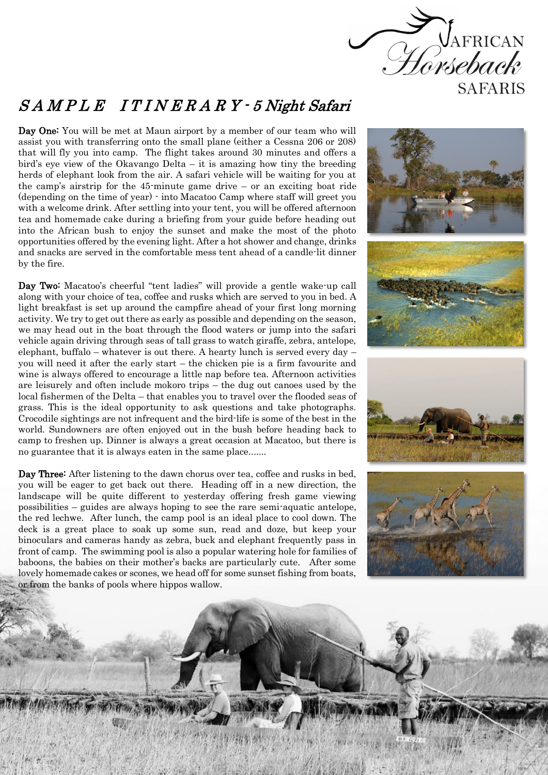

## S A M P L E I T I N E R A R Y - 5 Night Safari

Day One: You will be met at Maun airport by a member of our team who will assist you with transferring onto the small plane (either a Cessna 206 or 208) that will fly you into camp. The flight takes around 30 minutes and offers a bird's eye view of the Okavango Delta – it is amazing how tiny the breeding herds of elephant look from the air. A safari vehicle will be waiting for you at the camp's airstrip for the 45-minute game drive – or an exciting boat ride (depending on the time of year) - into Macatoo Camp where staff will greet you with a welcome drink. After settling into your tent, you will be offered afternoon tea and homemade cake during a briefing from your guide before heading out into the African bush to enjoy the sunset and make the most of the photo opportunities offered by the evening light. After a hot shower and change, drinks and snacks are served in the comfortable mess tent ahead of a candle-lit dinner by the fire.

Day Two: Macatoo's cheerful "tent ladies" will provide a gentle wake-up call along with your choice of tea, coffee and rusks which are served to you in bed. A light breakfast is set up around the campfire ahead of your first long morning activity. We try to get out there as early as possible and depending on the season, we may head out in the boat through the flood waters or jump into the safari vehicle again driving through seas of tall grass to watch giraffe, zebra, antelope, elephant, buffalo – whatever is out there. A hearty lunch is served every day – you will need it after the early start – the chicken pie is a firm favourite and wine is always offered to encourage a little nap before tea. Afternoon activities are leisurely and often include mokoro trips – the dug out canoes used by the local fishermen of the Delta – that enables you to travel over the flooded seas of grass. This is the ideal opportunity to ask questions and take photographs. Crocodile sightings are not infrequent and the bird-life is some of the best in the world. Sundowners are often enjoyed out in the bush before heading back to camp to freshen up. Dinner is always a great occasion at Macatoo, but there is no guarantee that it is always eaten in the same place.......

Day Three: After listening to the dawn chorus over tea, coffee and rusks in bed, you will be eager to get back out there. Heading off in a new direction, the landscape will be quite different to yesterday offering fresh game viewing possibilities – guides are always hoping to see the rare semi-aquatic antelope, the red lechwe. After lunch, the camp pool is an ideal place to cool down. The deck is a great place to soak up some sun, read and doze, but keep your binoculars and cameras handy as zebra, buck and elephant frequently pass in front of camp. The swimming pool is also a popular watering hole for families of baboons, the babies on their mother's backs are particularly cute. After some lovely homemade cakes or scones, we head off for some sunset fishing from boats, or from the banks of pools where hippos wallow.

š š

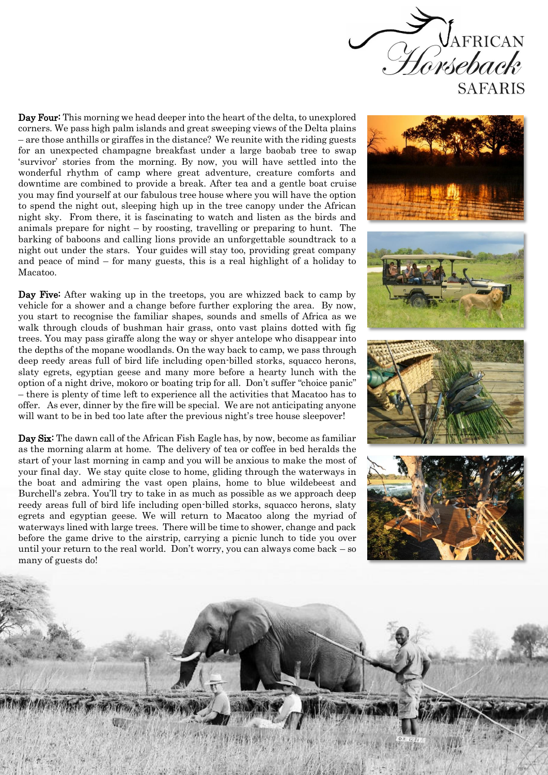

Day Four: This morning we head deeper into the heart of the delta, to unexplored corners. We pass high palm islands and great sweeping views of the Delta plains – are those anthills or giraffes in the distance? We reunite with the riding guests for an unexpected champagne breakfast under a large baobab tree to swap 'survivor' stories from the morning. By now, you will have settled into the wonderful rhythm of camp where great adventure, creature comforts and downtime are combined to provide a break. After tea and a gentle boat cruise you may find yourself at our fabulous tree house where you will have the option to spend the night out, sleeping high up in the tree canopy under the African night sky. From there, it is fascinating to watch and listen as the birds and animals prepare for night – by roosting, travelling or preparing to hunt. The barking of baboons and calling lions provide an unforgettable soundtrack to a night out under the stars. Your guides will stay too, providing great company and peace of mind – for many guests, this is a real highlight of a holiday to Macatoo.

Day Five: After waking up in the treetops, you are whizzed back to camp by vehicle for a shower and a change before further exploring the area. By now, you start to recognise the familiar shapes, sounds and smells of Africa as we walk through clouds of bushman hair grass, onto vast plains dotted with fig trees. You may pass giraffe along the way or shyer antelope who disappear into the depths of the mopane woodlands. On the way back to camp, we pass through deep reedy areas full of bird life including open-billed storks, squacco herons, slaty egrets, egyptian geese and many more before a hearty lunch with the option of a night drive, mokoro or boating trip for all. Don't suffer "choice panic" – there is plenty of time left to experience all the activities that Macatoo has to offer. As ever, dinner by the fire will be special. We are not anticipating anyone will want to be in bed too late after the previous night's tree house sleepover!

Day Six: The dawn call of the African Fish Eagle has, by now, become as familiar as the morning alarm at home. The delivery of tea or coffee in bed heralds the start of your last morning in camp and you will be anxious to make the most of your final day. We stay quite close to home, gliding through the waterways in the boat and admiring the vast open plains, home to blue wildebeest and Burchell's zebra. You'll try to take in as much as possible as we approach deep reedy areas full of bird life including open-billed storks, squacco herons, slaty egrets and egyptian geese. We will return to Macatoo along the myriad of waterways lined with large trees. There will be time to shower, change and pack before the game drive to the airstrip, carrying a picnic lunch to tide you over until your return to the real world. Don't worry, you can always come back – so many of guests do!